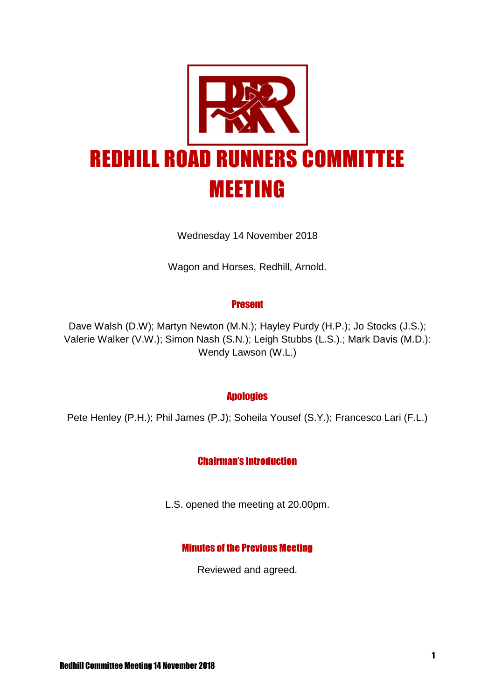

Wednesday 14 November 2018

Wagon and Horses, Redhill, Arnold.

#### Present

Dave Walsh (D.W); Martyn Newton (M.N.); Hayley Purdy (H.P.); Jo Stocks (J.S.); Valerie Walker (V.W.); Simon Nash (S.N.); Leigh Stubbs (L.S.).; Mark Davis (M.D.): Wendy Lawson (W.L.)

## **Apologies**

Pete Henley (P.H.); Phil James (P.J); Soheila Yousef (S.Y.); Francesco Lari (F.L.)

## Chairman's Introduction

L.S. opened the meeting at 20.00pm.

## Minutes of the Previous Meeting

Reviewed and agreed.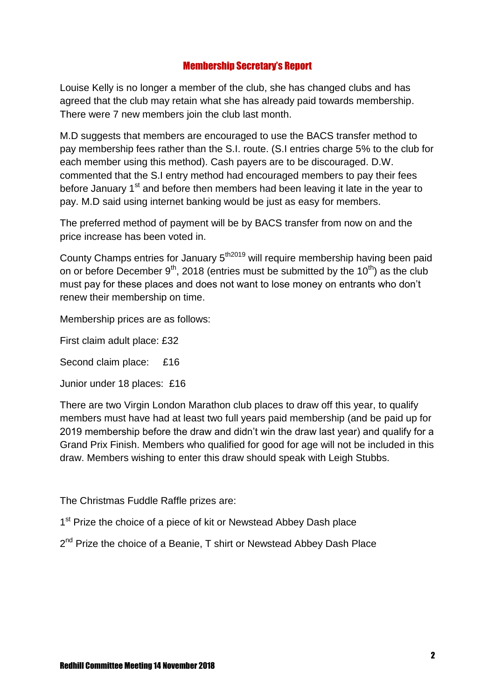# Membership Secretary's Report

Louise Kelly is no longer a member of the club, she has changed clubs and has agreed that the club may retain what she has already paid towards membership. There were 7 new members join the club last month.

M.D suggests that members are encouraged to use the BACS transfer method to pay membership fees rather than the S.I. route. (S.I entries charge 5% to the club for each member using this method). Cash payers are to be discouraged. D.W. commented that the S.I entry method had encouraged members to pay their fees before January 1<sup>st</sup> and before then members had been leaving it late in the year to pay. M.D said using internet banking would be just as easy for members.

The preferred method of payment will be by BACS transfer from now on and the price increase has been voted in.

County Champs entries for January 5<sup>th2019</sup> will require membership having been paid on or before December  $9<sup>th</sup>$ , 2018 (entries must be submitted by the 10<sup>th</sup>) as the club must pay for these places and does not want to lose money on entrants who don't renew their membership on time.

Membership prices are as follows:

First claim adult place: £32

Second claim place: £16

Junior under 18 places: £16

There are two Virgin London Marathon club places to draw off this year, to qualify members must have had at least two full years paid membership (and be paid up for 2019 membership before the draw and didn't win the draw last year) and qualify for a Grand Prix Finish. Members who qualified for good for age will not be included in this draw. Members wishing to enter this draw should speak with Leigh Stubbs.

The Christmas Fuddle Raffle prizes are:

1<sup>st</sup> Prize the choice of a piece of kit or Newstead Abbey Dash place

2<sup>nd</sup> Prize the choice of a Beanie, T shirt or Newstead Abbey Dash Place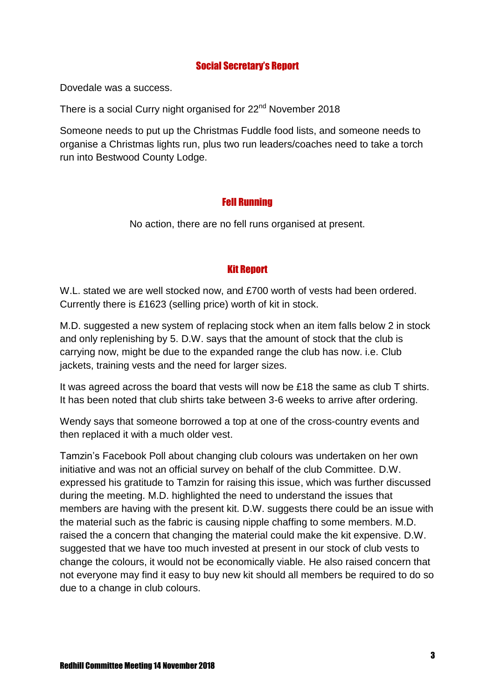# Social Secretary's Report

Dovedale was a success.

There is a social Curry night organised for 22<sup>nd</sup> November 2018

Someone needs to put up the Christmas Fuddle food lists, and someone needs to organise a Christmas lights run, plus two run leaders/coaches need to take a torch run into Bestwood County Lodge.

## Fell Running

No action, there are no fell runs organised at present.

## Kit Report

W.L. stated we are well stocked now, and £700 worth of vests had been ordered. Currently there is £1623 (selling price) worth of kit in stock.

M.D. suggested a new system of replacing stock when an item falls below 2 in stock and only replenishing by 5. D.W. says that the amount of stock that the club is carrying now, might be due to the expanded range the club has now. i.e. Club jackets, training vests and the need for larger sizes.

It was agreed across the board that vests will now be £18 the same as club T shirts. It has been noted that club shirts take between 3-6 weeks to arrive after ordering.

Wendy says that someone borrowed a top at one of the cross-country events and then replaced it with a much older vest.

Tamzin's Facebook Poll about changing club colours was undertaken on her own initiative and was not an official survey on behalf of the club Committee. D.W. expressed his gratitude to Tamzin for raising this issue, which was further discussed during the meeting. M.D. highlighted the need to understand the issues that members are having with the present kit. D.W. suggests there could be an issue with the material such as the fabric is causing nipple chaffing to some members. M.D. raised the a concern that changing the material could make the kit expensive. D.W. suggested that we have too much invested at present in our stock of club vests to change the colours, it would not be economically viable. He also raised concern that not everyone may find it easy to buy new kit should all members be required to do so due to a change in club colours.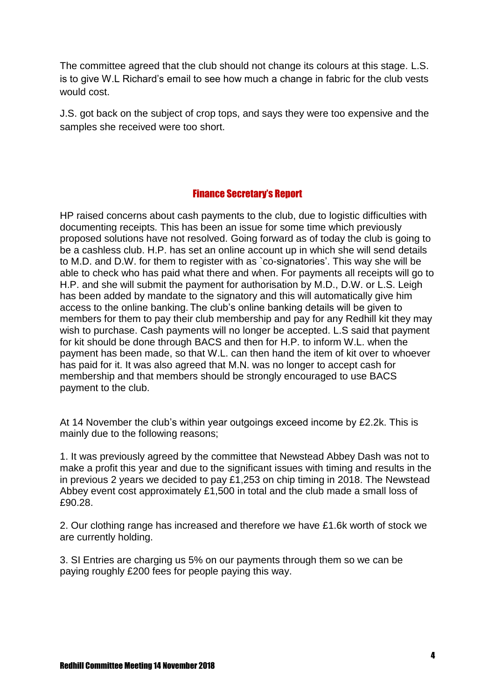The committee agreed that the club should not change its colours at this stage. L.S. is to give W.L Richard's email to see how much a change in fabric for the club vests would cost.

J.S. got back on the subject of crop tops, and says they were too expensive and the samples she received were too short.

## Finance Secretary's Report

HP raised concerns about cash payments to the club, due to logistic difficulties with documenting receipts. This has been an issue for some time which previously proposed solutions have not resolved. Going forward as of today the club is going to be a cashless club. H.P. has set an online account up in which she will send details to M.D. and D.W. for them to register with as `co-signatories'. This way she will be able to check who has paid what there and when. For payments all receipts will go to H.P. and she will submit the payment for authorisation by M.D., D.W. or L.S. Leigh has been added by mandate to the signatory and this will automatically give him access to the online banking. The club's online banking details will be given to members for them to pay their club membership and pay for any Redhill kit they may wish to purchase. Cash payments will no longer be accepted. L.S said that payment for kit should be done through BACS and then for H.P. to inform W.L. when the payment has been made, so that W.L. can then hand the item of kit over to whoever has paid for it. It was also agreed that M.N. was no longer to accept cash for membership and that members should be strongly encouraged to use BACS payment to the club.

At 14 November the club's within year outgoings exceed income by £2.2k. This is mainly due to the following reasons;

1. It was previously agreed by the committee that Newstead Abbey Dash was not to make a profit this year and due to the significant issues with timing and results in the in previous 2 years we decided to pay £1,253 on chip timing in 2018. The Newstead Abbey event cost approximately £1,500 in total and the club made a small loss of £90.28.

2. Our clothing range has increased and therefore we have £1.6k worth of stock we are currently holding.

3. SI Entries are charging us 5% on our payments through them so we can be paying roughly £200 fees for people paying this way.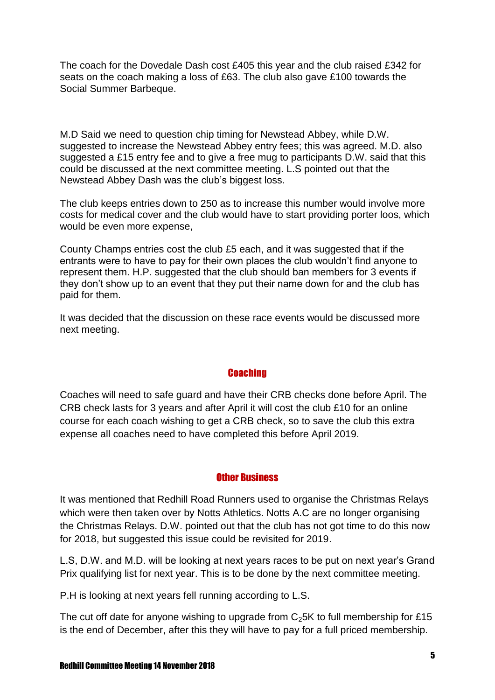The coach for the Dovedale Dash cost £405 this year and the club raised £342 for seats on the coach making a loss of £63. The club also gave £100 towards the Social Summer Barbeque.

M.D Said we need to question chip timing for Newstead Abbey, while D.W. suggested to increase the Newstead Abbey entry fees; this was agreed. M.D. also suggested a £15 entry fee and to give a free mug to participants D.W. said that this could be discussed at the next committee meeting. L.S pointed out that the Newstead Abbey Dash was the club's biggest loss.

The club keeps entries down to 250 as to increase this number would involve more costs for medical cover and the club would have to start providing porter loos, which would be even more expense,

County Champs entries cost the club £5 each, and it was suggested that if the entrants were to have to pay for their own places the club wouldn't find anyone to represent them. H.P. suggested that the club should ban members for 3 events if they don't show up to an event that they put their name down for and the club has paid for them.

It was decided that the discussion on these race events would be discussed more next meeting.

## **Coaching**

Coaches will need to safe guard and have their CRB checks done before April. The CRB check lasts for 3 years and after April it will cost the club £10 for an online course for each coach wishing to get a CRB check, so to save the club this extra expense all coaches need to have completed this before April 2019.

## Other Business

It was mentioned that Redhill Road Runners used to organise the Christmas Relays which were then taken over by Notts Athletics. Notts A.C are no longer organising the Christmas Relays. D.W. pointed out that the club has not got time to do this now for 2018, but suggested this issue could be revisited for 2019.

L.S, D.W. and M.D. will be looking at next years races to be put on next year's Grand Prix qualifying list for next year. This is to be done by the next committee meeting.

P.H is looking at next years fell running according to L.S.

The cut off date for anyone wishing to upgrade from  $C_25K$  to full membership for £15 is the end of December, after this they will have to pay for a full priced membership.